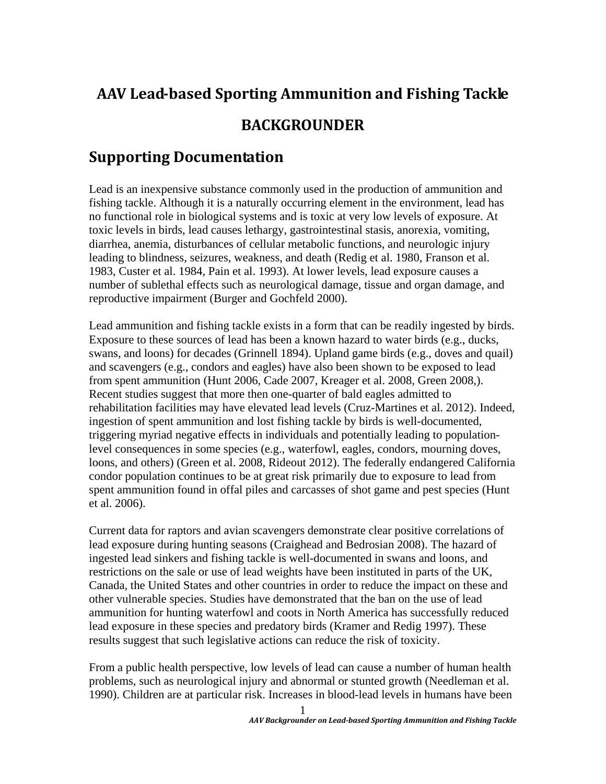## **AAV Lead‐based Sporting Ammunition and Fishing Tackle BACKGROUNDER**

## **Supporting Documentation**

Lead is an inexpensive substance commonly used in the production of ammunition and fishing tackle. Although it is a naturally occurring element in the environment, lead has no functional role in biological systems and is toxic at very low levels of exposure. At toxic levels in birds, lead causes lethargy, gastrointestinal stasis, anorexia, vomiting, diarrhea, anemia, disturbances of cellular metabolic functions, and neurologic injury leading to blindness, seizures, weakness, and death (Redig et al. 1980, Franson et al. 1983, Custer et al. 1984, Pain et al. 1993). At lower levels, lead exposure causes a number of sublethal effects such as neurological damage, tissue and organ damage, and reproductive impairment (Burger and Gochfeld 2000).

Lead ammunition and fishing tackle exists in a form that can be readily ingested by birds. Exposure to these sources of lead has been a known hazard to water birds (e.g., ducks, swans, and loons) for decades (Grinnell 1894). Upland game birds (e.g., doves and quail) and scavengers (e.g., condors and eagles) have also been shown to be exposed to lead from spent ammunition (Hunt 2006, Cade 2007, Kreager et al. 2008, Green 2008,). Recent studies suggest that more then one-quarter of bald eagles admitted to rehabilitation facilities may have elevated lead levels (Cruz-Martines et al. 2012). Indeed, ingestion of spent ammunition and lost fishing tackle by birds is well-documented, triggering myriad negative effects in individuals and potentially leading to populationlevel consequences in some species (e.g., waterfowl, eagles, condors, mourning doves, loons, and others) (Green et al. 2008, Rideout 2012). The federally endangered California condor population continues to be at great risk primarily due to exposure to lead from spent ammunition found in offal piles and carcasses of shot game and pest species (Hunt et al. 2006).

Current data for raptors and avian scavengers demonstrate clear positive correlations of lead exposure during hunting seasons (Craighead and Bedrosian 2008). The hazard of ingested lead sinkers and fishing tackle is well-documented in swans and loons, and restrictions on the sale or use of lead weights have been instituted in parts of the UK, Canada, the United States and other countries in order to reduce the impact on these and other vulnerable species. Studies have demonstrated that the ban on the use of lead ammunition for hunting waterfowl and coots in North America has successfully reduced lead exposure in these species and predatory birds (Kramer and Redig 1997). These results suggest that such legislative actions can reduce the risk of toxicity.

From a public health perspective, low levels of lead can cause a number of human health problems, such as neurological injury and abnormal or stunted growth (Needleman et al. 1990). Children are at particular risk. Increases in blood-lead levels in humans have been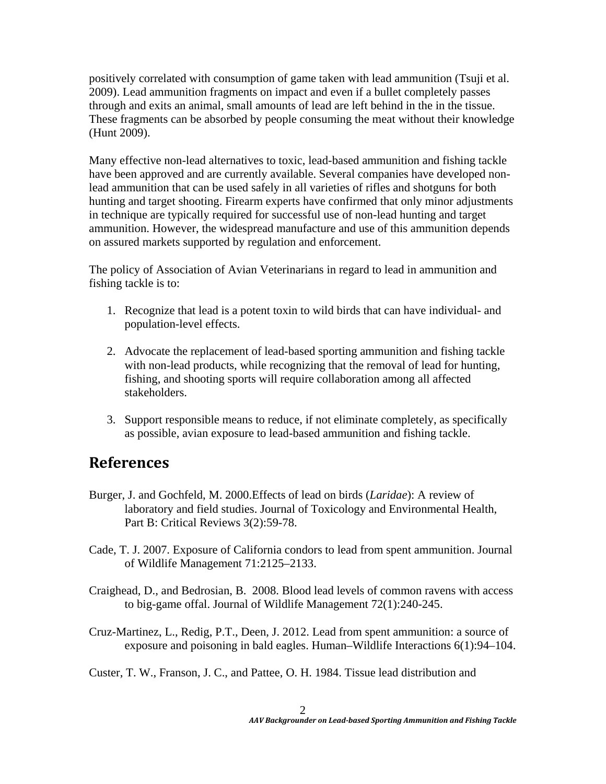positively correlated with consumption of game taken with lead ammunition (Tsuji et al. 2009). Lead ammunition fragments on impact and even if a bullet completely passes through and exits an animal, small amounts of lead are left behind in the in the tissue. These fragments can be absorbed by people consuming the meat without their knowledge (Hunt 2009).

Many effective non-lead alternatives to toxic, lead-based ammunition and fishing tackle have been approved and are currently available. Several companies have developed nonlead ammunition that can be used safely in all varieties of rifles and shotguns for both hunting and target shooting. Firearm experts have confirmed that only minor adjustments in technique are typically required for successful use of non-lead hunting and target ammunition. However, the widespread manufacture and use of this ammunition depends on assured markets supported by regulation and enforcement.

The policy of Association of Avian Veterinarians in regard to lead in ammunition and fishing tackle is to:

- 1. Recognize that lead is a potent toxin to wild birds that can have individual- and population-level effects.
- 2. Advocate the replacement of lead-based sporting ammunition and fishing tackle with non-lead products, while recognizing that the removal of lead for hunting, fishing, and shooting sports will require collaboration among all affected stakeholders.
- 3. Support responsible means to reduce, if not eliminate completely, as specifically as possible, avian exposure to lead-based ammunition and fishing tackle.

## **References**

- Burger, J. and Gochfeld, M. 2000.Effects of lead on birds (*Laridae*): A review of laboratory and field studies. Journal of Toxicology and Environmental Health, Part B: Critical Reviews 3(2):59-78.
- Cade, T. J. 2007. Exposure of California condors to lead from spent ammunition. Journal of Wildlife Management 71:2125–2133.
- Craighead, D., and Bedrosian, B. 2008. Blood lead levels of common ravens with access to big-game offal. Journal of Wildlife Management 72(1):240-245.
- Cruz-Martinez, L., Redig, P.T., Deen, J. 2012. Lead from spent ammunition: a source of exposure and poisoning in bald eagles. Human–Wildlife Interactions 6(1):94–104.
- Custer, T. W., Franson, J. C., and Pattee, O. H. 1984. Tissue lead distribution and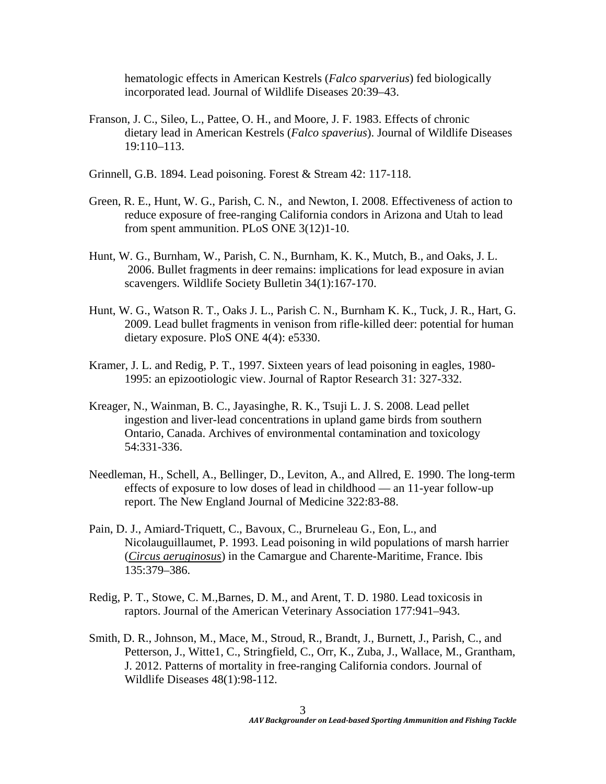hematologic effects in American Kestrels (*Falco sparverius*) fed biologically incorporated lead. Journal of Wildlife Diseases 20:39–43.

- Franson, J. C., Sileo, L., Pattee, O. H., and Moore, J. F. 1983. Effects of chronic dietary lead in American Kestrels (*Falco spaverius*). Journal of Wildlife Diseases 19:110–113.
- Grinnell, G.B. 1894. Lead poisoning. Forest & Stream 42: 117-118.
- Green, R. E., Hunt, W. G., Parish, C. N., and Newton, I. 2008. Effectiveness of action to reduce exposure of free-ranging California condors in Arizona and Utah to lead from spent ammunition. PLoS ONE 3(12)1-10.
- Hunt, W. G., Burnham, W., Parish, C. N., Burnham, K. K., Mutch, B., and Oaks, J. L. 2006. Bullet fragments in deer remains: implications for lead exposure in avian scavengers. Wildlife Society Bulletin 34(1):167-170.
- Hunt, W. G., Watson R. T., Oaks J. L., Parish C. N., Burnham K. K., Tuck, J. R., Hart, G. 2009. Lead bullet fragments in venison from rifle-killed deer: potential for human dietary exposure. PloS ONE 4(4): e5330.
- Kramer, J. L. and Redig, P. T., 1997. Sixteen years of lead poisoning in eagles, 1980- 1995: an epizootiologic view. Journal of Raptor Research 31: 327-332.
- Kreager, N., Wainman, B. C., Jayasinghe, R. K., Tsuji L. J. S. 2008. Lead pellet ingestion and liver-lead concentrations in upland game birds from southern Ontario, Canada. Archives of environmental contamination and toxicology 54:331-336.
- Needleman, H., Schell, A., Bellinger, D., Leviton, A., and Allred, E. 1990. The long-term effects of exposure to low doses of lead in childhood — an 11-year follow-up report. The New England Journal of Medicine 322:83-88.
- Pain, D. J., Amiard-Triquett, C., Bavoux, C., Brurneleau G., Eon, L., and Nicolauguillaumet, P. 1993. Lead poisoning in wild populations of marsh harrier (*Circus aeruginosus*) in the Camargue and Charente-Maritime, France. Ibis 135:379–386.
- Redig, P. T., Stowe, C. M.,Barnes, D. M., and Arent, T. D. 1980. Lead toxicosis in raptors. Journal of the American Veterinary Association 177:941–943.
- Smith, D. R., Johnson, M., Mace, M., Stroud, R., Brandt, J., Burnett, J., Parish, C., and Petterson, J., Witte1, C., Stringfield, C., Orr, K., Zuba, J., Wallace, M., Grantham, J. 2012. Patterns of mortality in free-ranging California condors. Journal of Wildlife Diseases 48(1):98-112.